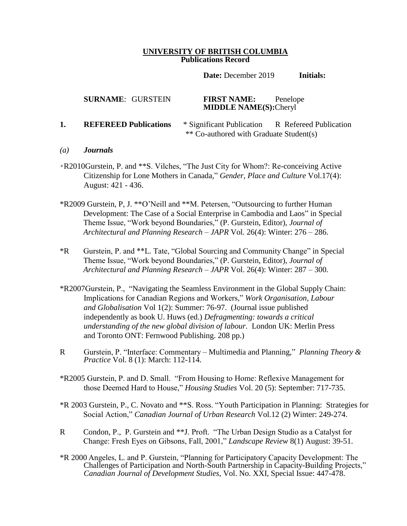## **UNIVERSITY OF BRITISH COLUMBIA Publications Record**

**Date:** December 2019 **Initials:**

| <b>SURNAME: GURSTEIN</b> | <b>FIRST NAME:</b><br>Penelope |
|--------------------------|--------------------------------|
|                          | <b>MIDDLE NAME(S):Cheryl</b>   |

**1. REFEREED Publications** \* Significant Publication R Refereed Publication \*\* Co-authored with Graduate Student(s)

## *(a) Journals*

- \*R2010Gurstein, P. and \*\*S. Vilches, "The Just City for Whom?: Re-conceiving Active Citizenship for Lone Mothers in Canada," *Gender, Place and Culture* Vol.17(4): August: 421 - 436.
- \*R2009 Gurstein, P, J. \*\*O'Neill and \*\*M. Petersen, "Outsourcing to further Human Development: The Case of a Social Enterprise in Cambodia and Laos" in Special Theme Issue, "Work beyond Boundaries," (P. Gurstein, Editor), *Journal of Architectural and Planning Research – JAPR* Vol. 26(4): Winter: 276 – 286.
- \*R Gurstein, P. and \*\*L. Tate, "Global Sourcing and Community Change" in Special Theme Issue, "Work beyond Boundaries," (P. Gurstein, Editor), *Journal of Architectural and Planning Research – JAPR* Vol. 26(4): Winter: 287 – 300.
- \*R2007Gurstein, P., "Navigating the Seamless Environment in the Global Supply Chain: Implications for Canadian Regions and Workers," *Work Organisation, Labour and Globalisation* Vol 1(2): Summer: 76-97. (Journal issue published independently as book U. Huws (ed.) *Defragmenting: towards a critical understanding of the new global division of labour.* London UK: Merlin Press and Toronto ONT: Fernwood Publishing. 208 pp.)
- R Gurstein, P. "Interface: Commentary Multimedia and Planning," *Planning Theory & Practice* Vol. 8 (1): March: 112-114.
- \*R2005 Gurstein, P. and D. Small. "From Housing to Home: Reflexive Management for those Deemed Hard to House," *Housing Studies* Vol. 20 (5): September: 717-735.
- \*R 2003 Gurstein, P., C. Novato and \*\*S. Ross. "Youth Participation in Planning: Strategies for Social Action," *Canadian Journal of Urban Research* Vol.12 (2) Winter: 249-274.
- R Condon, P., P. Gurstein and \*\*J. Proft. "The Urban Design Studio as a Catalyst for Change: Fresh Eyes on Gibsons, Fall, 2001," *Landscape Review* 8(1) August: 39-51.
- \*R 2000 Angeles, L. and P. Gurstein, "Planning for Participatory Capacity Development: The Challenges of Participation and North-South Partnership in Capacity-Building Projects," *Canadian Journal of Development Studies*, Vol. No. XXI, Special Issue: 447-478.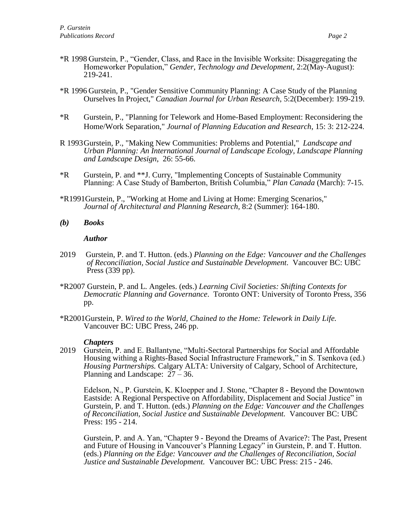- \*R 1998 Gurstein, P., "Gender, Class, and Race in the Invisible Worksite: Disaggregating the Homeworker Population," *Gender, Technology and Development*, 2:2(May-August): 219-241.
- \*R 1996 Gurstein, P., "Gender Sensitive Community Planning: A Case Study of the Planning Ourselves In Project," *Canadian Journal for Urban Research*, 5:2(December): 199-219.
- \*R Gurstein, P., "Planning for Telework and Home-Based Employment: Reconsidering the Home/Work Separation," *Journal of Planning Education and Research*, 15: 3: 212-224.
- R 1993Gurstein, P., "Making New Communities: Problems and Potential," *Landscape and Urban Planning: An International Journal of Landscape Ecology, Landscape Planning and Landscape Design*, 26: 55-66.
- \*R Gurstein, P. and \*\*J. Curry, "Implementing Concepts of Sustainable Community Planning: A Case Study of Bamberton, British Columbia," *Plan Canada* (March): 7-15.
- \*R1991Gurstein, P., "Working at Home and Living at Home: Emerging Scenarios," *Journal of Architectural and Planning Research*, 8:2 (Summer): 164-180.
- *(b) Books*

### *Author*

- 2019 Gurstein, P. and T. Hutton. (eds.) *Planning on the Edge: Vancouver and the Challenges of Reconciliation, Social Justice and Sustainable Development.* Vancouver BC: UBC Press (339 pp).
- \*R2007 Gurstein, P. and L. Angeles. (eds.) *Learning Civil Societies: Shifting Contexts for Democratic Planning and Governance*. Toronto ONT: University of Toronto Press, 356 pp.
- \*R2001Gurstein, P. *Wired to the World, Chained to the Home: Telework in Daily Life.* Vancouver BC: UBC Press, 246 pp.

### *Chapters*

2019 Gurstein, P. and E. Ballantyne, "Multi-Sectoral Partnerships for Social and Affordable Housing withing a Rights-Based Social Infrastructure Framework," in S. Tsenkova (ed.) *Housing Partnerships.* Calgary ALTA: University of Calgary, School of Architecture, Planning and Landscape:  $27 - 36$ .

Edelson, N., P. Gurstein, K. Kloepper and J. Stone, "Chapter 8 - Beyond the Downtown Eastside: A Regional Perspective on Affordability, Displacement and Social Justice" in Gurstein, P. and T. Hutton. (eds.) *Planning on the Edge: Vancouver and the Challenges of Reconciliation, Social Justice and Sustainable Development.* Vancouver BC: UBC Press: 195 - 214.

Gurstein, P. and A. Yan, "Chapter 9 - Beyond the Dreams of Avarice?: The Past, Present and Future of Housing in Vancouver's Planning Legacy" in Gurstein, P. and T. Hutton. (eds.) *Planning on the Edge: Vancouver and the Challenges of Reconciliation, Social Justice and Sustainable Development.* Vancouver BC: UBC Press: 215 - 246.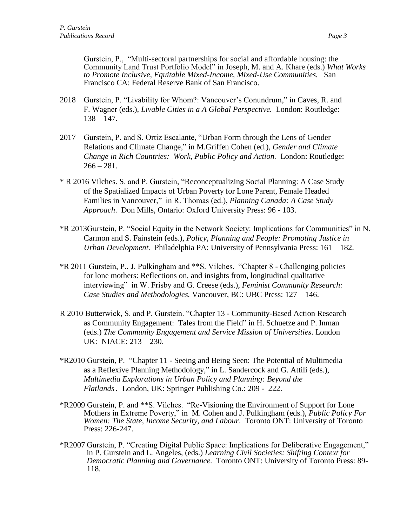Gurstein, P., "Multi-sectoral partnerships for social and affordable housing: the Community Land Trust Portfolio Model" in Joseph, M. and A. Khare (eds.) *What Works to Promote Inclusive, Equitable Mixed-Income, Mixed-Use Communities.* San Francisco CA: Federal Reserve Bank of San Francisco.

- 2018 Gurstein, P. "Livability for Whom?: Vancouver's Conundrum," in Caves, R. and F. Wagner (eds.), *Livable Cities in a A Global Perspective.* London: Routledge:  $138 - 147$ .
- 2017 Gurstein, P. and S. Ortiz Escalante, "Urban Form through the Lens of Gender Relations and Climate Change," in M.Griffen Cohen (ed.), *Gender and Climate Change in Rich Countries: Work, Public Policy and Action.* London: Routledge:  $266 - 281.$
- \* R 2016 Vilches. S. and P. Gurstein, "Reconceptualizing Social Planning: A Case Study of the Spatialized Impacts of Urban Poverty for Lone Parent, Female Headed Families in Vancouver," in R. Thomas (ed.), *Planning Canada: A Case Study Approach*. Don Mills, Ontario: Oxford University Press: 96 - 103.
- \*R 2013Gurstein, P. "Social Equity in the Network Society: Implications for Communities" in N. Carmon and S. Fainstein (eds.), *Policy, Planning and People: Promoting Justice in Urban Development.* Philadelphia PA: University of Pennsylvania Press: 161 – 182.
- \*R 2011 Gurstein, P., J. Pulkingham and \*\*S. Vilches. "Chapter 8 Challenging policies for lone mothers: Reflections on, and insights from, longitudinal qualitative interviewing" in W. Frisby and G. Creese (eds.), *Feminist Community Research: Case Studies and Methodologies.* Vancouver, BC: UBC Press: 127 – 146.
- R 2010 Butterwick, S. and P. Gurstein. "Chapter 13 Community-Based Action Research as Community Engagement: Tales from the Field" in H. Schuetze and P. Inman (eds.) *The Community Engagement and Service Mission of Universities*. London UK: NIACE: 213 – 230.
- \*R2010 Gurstein, P. "Chapter 11 Seeing and Being Seen: The Potential of Multimedia as a Reflexive Planning Methodology," in L. Sandercock and G. Attili (eds.), *Multimedia Explorations in Urban Policy and Planning: Beyond the Flatlands***.** London, UK: Springer Publishing Co.: 209 - 222.
- \*R2009 Gurstein, P. and \*\*S. Vilches. "Re-Visioning the Environment of Support for Lone Mothers in Extreme Poverty," in M. Cohen and J. Pulkingham (eds.), *Public Policy For Women: The State, Income Security, and Labour*. Toronto ONT: University of Toronto Press: 226-247.
- \*R2007 Gurstein, P. "Creating Digital Public Space: Implications for Deliberative Engagement," in P. Gurstein and L. Angeles, (eds.) *Learning Civil Societies: Shifting Context for Democratic Planning and Governance.* Toronto ONT: University of Toronto Press: 89- 118.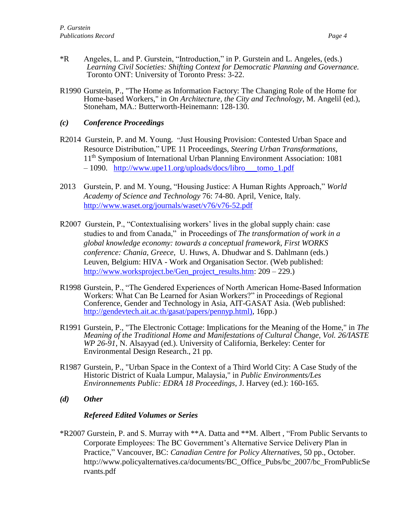- \*R Angeles, L. and P. Gurstein, "Introduction," in P. Gurstein and L. Angeles, (eds.) *Learning Civil Societies: Shifting Context for Democratic Planning and Governance.*  Toronto ONT: University of Toronto Press: 3-22.
- R1990 Gurstein, P., "The Home as Information Factory: The Changing Role of the Home for Home-based Workers," in *On Architecture, the City and Technology*, M. Angelil (ed.), Stoneham, MA.: Butterworth-Heinemann: 128-130.

# *(c) Conference Proceedings*

- R2014 Gurstein, P. and M. Young. "Just Housing Provision: Contested Urban Space and Resource Distribution," UPE 11 Proceedings, *Steering Urban Transformations,* 11th Symposium of International Urban Planning Environment Association: 1081 – 1090. [http://www.upe11.org/uploads/docs/libro\\_\\_\\_tomo\\_1.pdf](http://www.upe11.org/uploads/docs/libro___tomo_1.pdf)
- 2013 Gurstein, P. and M. Young, "Housing Justice: A Human Rights Approach," *World Academy of Science and Technology* 76: 74-80. April, Venice, Italy. <http://www.waset.org/journals/waset/v76/v76-52.pdf>
- R2007 Gurstein, P., "Contextualising workers' lives in the global supply chain: case studies to and from Canada," in Proceedings of *The transformation of work in a global knowledge economy: towards a conceptual framework, First WORKS conference: Chania, Greece,* U. Huws, A. Dhudwar and S. Dahlmann (eds.) Leuven, Belgium: HIVA - Work and Organisation Sector. (Web published: [http://www.worksproject.be/Gen\\_project\\_results.htm:](http://www.worksproject.be/Gen_project_results.htm) 209 – 229.)
- R1998 Gurstein, P., "The Gendered Experiences of North American Home-Based Information Workers: What Can Be Learned for Asian Workers?" in Proceedings of Regional Conference, Gender and Technology in Asia, AIT-GASAT Asia. (Web published: [http://gendevtech.ait.ac.th/gasat/papers/pennyp.html\),](http://gendevtech.ait.ac.th/gasat/papers/pennyp.html)) 16pp.)
- R1991 Gurstein, P., "The Electronic Cottage: Implications for the Meaning of the Home," in *The Meaning of the Traditional Home and Manifestations of Cultural Change, Vol. 26/IASTE WP 26-91*, N. Alsayyad (ed.). University of California, Berkeley: Center for Environmental Design Research., 21 pp.
- R1987 Gurstein, P., "Urban Space in the Context of a Third World City: A Case Study of the Historic District of Kuala Lumpur, Malaysia," in *Public Environments/Les Environnements Public: EDRA 18 Proceedings*, J. Harvey (ed.): 160-165.
- *(d) Other*

# *Refereed Edited Volumes or Series*

\*R2007 Gurstein, P. and S. Murray with \*\*A. Datta and \*\*M. Albert , "From Public Servants to Corporate Employees: The BC Government's Alternative Service Delivery Plan in Practice," Vancouver, BC: *Canadian Centre for Policy Alternatives,* 50 pp., October. http://www.policyalternatives.ca/documents/BC\_Office\_Pubs/bc\_2007/bc\_FromPublicSe rvants.pdf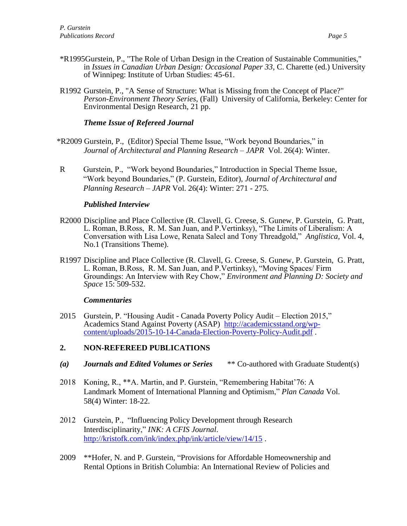- \*R1995Gurstein, P., "The Role of Urban Design in the Creation of Sustainable Communities," in *Issues in Canadian Urban Design: Occasional Paper 33*, C. Charette (ed.) University of Winnipeg: Institute of Urban Studies: 45-61.
- R1992 Gurstein, P., "A Sense of Structure: What is Missing from the Concept of Place?" *Person-Environment Theory Series*, (Fall) University of California, Berkeley: Center for Environmental Design Research, 21 pp.

## *Theme Issue of Refereed Journal*

- \*R2009 Gurstein, P., (Editor) Special Theme Issue, "Work beyond Boundaries," in *Journal of Architectural and Planning Research – JAPR* Vol. 26(4): Winter.
- R Gurstein, P., "Work beyond Boundaries," Introduction in Special Theme Issue, "Work beyond Boundaries," (P. Gurstein, Editor), *Journal of Architectural and Planning Research – JAPR* Vol. 26(4): Winter: 271 - 275.

### *Published Interview*

- R2000 Discipline and Place Collective (R. Clavell, G. Creese, S. Gunew, P. Gurstein, G. Pratt, L. Roman, B.Ross, R. M. San Juan, and P.Vertinksy), "The Limits of Liberalism: A Conversation with Lisa Lowe, Renata Salecl and Tony Threadgold," *Anglistica,* Vol. 4, No.1 (Transitions Theme).
- R1997 Discipline and Place Collective (R. Clavell, G. Creese, S. Gunew, P. Gurstein, G. Pratt, L. Roman, B.Ross, R. M. San Juan, and P.Vertinksy), "Moving Spaces/ Firm Groundings: An Interview with Rey Chow," *Environment and Planning D: Society and Space* 15: 509-532.

### *Commentaries*

2015 Gurstein, P. "Housing Audit - Canada Poverty Policy Audit – Election 2015," Academics Stand Against Poverty (ASAP) [http://academicsstand.org/wp](http://academicsstand.org/wp-content/uploads/2015-10-14-Canada-Election-Poverty-Policy-Audit.pdf)[content/uploads/2015-10-14-Canada-Election-Poverty-Policy-Audit.pdf](http://academicsstand.org/wp-content/uploads/2015-10-14-Canada-Election-Poverty-Policy-Audit.pdf) .

# **2. NON-REFEREED PUBLICATIONS**

- *(a) Journals and Edited Volumes or Series* \*\* Co-authored with Graduate Student(s)
- 2018 Koning, R., \*\*A. Martin, and P. Gurstein, "Remembering Habitat'76: A Landmark Moment of International Planning and Optimism," *Plan Canada* Vol. 58(4) Winter: 18-22.
- 2012 Gurstein, P., "Influencing Policy Development through Research Interdisciplinarity," *INK: A CFIS Journal*. <http://kristofk.com/ink/index.php/ink/article/view/14/15> .
- 2009 \*\*Hofer, N. and P. Gurstein, "Provisions for Affordable Homeownership and Rental Options in British Columbia: An International Review of Policies and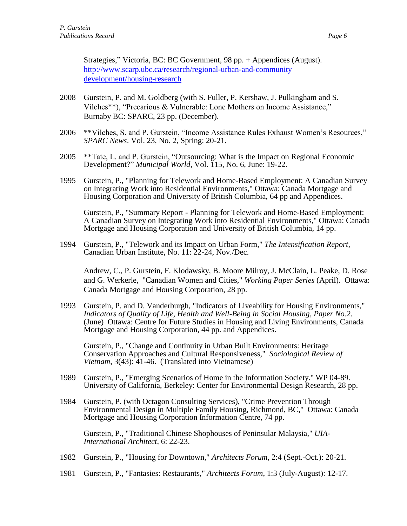Strategies," Victoria, BC: BC Government, 98 pp. + Appendices (August). [http://www.scarp.ubc.ca/research/regional-urban-and-community](http://www.scarp.ubc.ca/research/regional-urban-and-community%20development/housing-research)  [development/housing-research](http://www.scarp.ubc.ca/research/regional-urban-and-community%20development/housing-research)

- 2008 Gurstein, P. and M. Goldberg (with S. Fuller, P. Kershaw, J. Pulkingham and S. Vilches\*\*), "Precarious & Vulnerable: Lone Mothers on Income Assistance," Burnaby BC: SPARC, 23 pp. (December).
- 2006 \*\*Vilches, S. and P. Gurstein, "Income Assistance Rules Exhaust Women's Resources," *SPARC News*. Vol. 23, No. 2, Spring: 20-21.
- 2005 \*\*Tate, L. and P. Gurstein, "Outsourcing: What is the Impact on Regional Economic Development?" *Municipal World,* Vol. 115, No. 6, June: 19-22.
- 1995 Gurstein, P., "Planning for Telework and Home-Based Employment: A Canadian Survey on Integrating Work into Residential Environments," Ottawa: Canada Mortgage and Housing Corporation and University of British Columbia, 64 pp and Appendices.

Gurstein, P., "Summary Report - Planning for Telework and Home-Based Employment: A Canadian Survey on Integrating Work into Residential Environments," Ottawa: Canada Mortgage and Housing Corporation and University of British Columbia, 14 pp.

1994 Gurstein, P., "Telework and its Impact on Urban Form," *The Intensification Report*, Canadian Urban Institute, No. 11: 22-24, Nov./Dec.

Andrew, C., P. Gurstein, F. Klodawsky, B. Moore Milroy, J. McClain, L. Peake, D. Rose and G. Werkerle, "Canadian Women and Cities," *Working Paper Series* (April). Ottawa: Canada Mortgage and Housing Corporation, 28 pp.

1993 Gurstein, P. and D. Vanderburgh, "Indicators of Liveability for Housing Environments," *Indicators of Quality of Life, Health and Well-Being in Social Housing, Paper No.2*. (June) Ottawa: Centre for Future Studies in Housing and Living Environments, Canada Mortgage and Housing Corporation, 44 pp. and Appendices.

Gurstein, P., "Change and Continuity in Urban Built Environments: Heritage Conservation Approaches and Cultural Responsiveness," *Sociological Review of Vietnam*, 3(43): 41-46. (Translated into Vietnamese)

- 1989 Gurstein, P., "Emerging Scenarios of Home in the Information Society." WP 04-89. University of California, Berkeley: Center for Environmental Design Research, 28 pp.
- 1984 Gurstein, P. (with Octagon Consulting Services), "Crime Prevention Through Environmental Design in Multiple Family Housing, Richmond, BC," Ottawa: Canada Mortgage and Housing Corporation Information Centre, 74 pp.

Gurstein, P., "Traditional Chinese Shophouses of Peninsular Malaysia," *UIA-International Architect*, 6: 22-23.

- 1982 Gurstein, P., "Housing for Downtown," *Architects Forum*, 2:4 (Sept.-Oct.): 20-21.
- 1981 Gurstein, P., "Fantasies: Restaurants," *Architects Forum*, 1:3 (July-August): 12-17.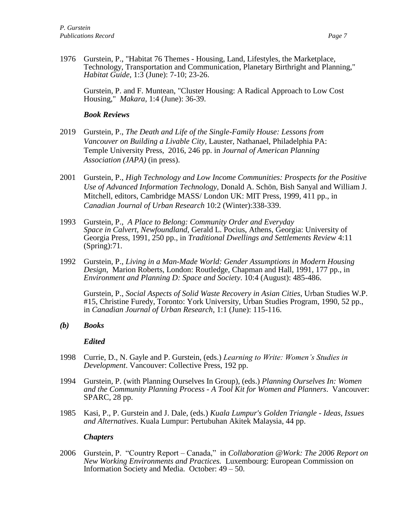1976 Gurstein, P., "Habitat 76 Themes - Housing, Land, Lifestyles, the Marketplace, Technology, Transportation and Communication, Planetary Birthright and Planning," *Habitat Guide*, 1:3 (June): 7-10; 23-26.

Gurstein, P. and F. Muntean, "Cluster Housing: A Radical Approach to Low Cost Housing," *Makara*, 1:4 (June): 36-39.

## *Book Reviews*

- 2019 Gurstein, P., *The Death and Life of the Single-Family House: Lessons from Vancouver on Building a Livable City,* Lauster, Nathanael, Philadelphia PA: Temple University Press, 2016, 246 pp. in *Journal of American Planning Association (JAPA)* (in press).
- 2001 Gurstein, P., *High Technology and Low Income Communities: Prospects for the Positive Use of Advanced Information Technology,* Donald A. Schön, Bish Sanyal and William J. Mitchell, editors, Cambridge MASS/ London UK: MIT Press, 1999, 411 pp., in *Canadian Journal of Urban Research* 10:2 (Winter):338-339.
- 1993 Gurstein, P., *A Place to Belong: Community Order and Everyday Space in Calvert, Newfoundland*, Gerald L. Pocius, Athens, Georgia: University of Georgia Press, 1991, 250 pp., in *Traditional Dwellings and Settlements Review* 4:11 (Spring):71.
- 1992 Gurstein, P., *Living in a Man-Made World: Gender Assumptions in Modern Housing Design*, Marion Roberts, London: Routledge, Chapman and Hall, 1991, 177 pp., in *Environment and Planning D: Space and Society*. 10:4 (August): 485-486.

Gurstein, P., *Social Aspects of Solid Waste Recovery in Asian Cities*, Urban Studies W.P. #15, Christine Furedy, Toronto: York University, Urban Studies Program, 1990, 52 pp., in *Canadian Journal of Urban Research*, 1:1 (June): 115-116.

*(b) Books*

*Edited*

- 1998 Currie, D., N. Gayle and P. Gurstein, (eds.) *Learning to Write: Women's Studies in Development*. Vancouver: Collective Press, 192 pp.
- 1994 Gurstein, P. (with Planning Ourselves In Group), (eds.) *Planning Ourselves In: Women and the Community Planning Process - A Tool Kit for Women and Planners*. Vancouver: SPARC, 28 pp.
- 1985 Kasi, P., P. Gurstein and J. Dale, (eds.) *Kuala Lumpur's Golden Triangle - Ideas, Issues and Alternatives*. Kuala Lumpur: Pertubuhan Akitek Malaysia, 44 pp.

## *Chapters*

2006 Gurstein, P. "Country Report – Canada," in *Collaboration @Work: The 2006 Report on New Working Environments and Practices.* Luxembourg: European Commission on Information Society and Media. October: 49 – 50.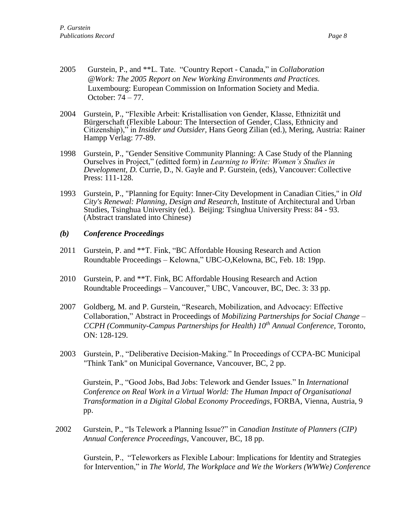- 2005 Gurstein, P., and \*\*L. Tate. "Country Report Canada," in *Collaboration @Work: The 2005 Report on New Working Environments and Practices.*  Luxembourg: European Commission on Information Society and Media. October: 74 – 77.
- 2004 Gurstein, P., "Flexible Arbeit: Kristallisation von Gender, Klasse, Ethnizität und Bürgerschaft (Flexible Labour: The Intersection of Gender, Class, Ethnicity and Citizenship)," in *Insider und Outsider,* Hans Georg Zilian (ed.), Mering, Austria: Rainer Hampp Verlag: 77-89.
- 1998 Gurstein, P., "Gender Sensitive Community Planning: A Case Study of the Planning Ourselves in Project," (editted form) in *Learning to Write: Women's Studies in Development, D.* Currie, D., N. Gayle and P. Gurstein, (eds), Vancouver: Collective Press: 111-128.
- 1993 Gurstein, P., "Planning for Equity: Inner-City Development in Canadian Cities," in *Old City's Renewal: Planning, Design and Research*, Institute of Architectural and Urban Studies, Tsinghua University (ed.). Beijing: Tsinghua University Press: 84 - 93. (Abstract translated into Chinese)

# *(b) Conference Proceedings*

- 2011 Gurstein, P. and \*\*T. Fink, "BC Affordable Housing Research and Action Roundtable Proceedings – Kelowna," UBC-O,Kelowna, BC, Feb. 18: 19pp.
- 2010 Gurstein, P. and \*\*T. Fink, BC Affordable Housing Research and Action Roundtable Proceedings – Vancouver," UBC, Vancouver, BC, Dec. 3: 33 pp.
- 2007 Goldberg, M. and P. Gurstein, "Research, Mobilization, and Advocacy: Effective Collaboration," Abstract in Proceedings of *Mobilizing Partnerships for Social Change – CCPH (Community-Campus Partnerships for Health) 10th Annual Conference,* Toronto, ON: 128-129.
- 2003 Gurstein, P., "Deliberative Decision-Making." In Proceedings of CCPA-BC Municipal "Think Tank" on Municipal Governance, Vancouver, BC, 2 pp.

Gurstein, P., "Good Jobs, Bad Jobs: Telework and Gender Issues." In *International Conference on Real Work in a Virtual World: The Human Impact of Organisational Transformation in a Digital Global Economy Proceedings*, FORBA, Vienna, Austria, 9 pp.

2002 Gurstein, P., "Is Telework a Planning Issue?" in *Canadian Institute of Planners (CIP) Annual Conference Proceedings*, Vancouver, BC, 18 pp.

Gurstein, P., "Teleworkers as Flexible Labour: Implications for Identity and Strategies for Intervention," in *The World, The Workplace and We the Workers (WWWe) Conference*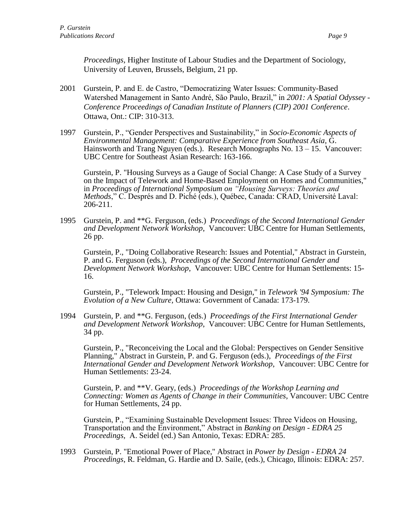*Proceedings*, Higher Institute of Labour Studies and the Department of Sociology, University of Leuven, Brussels, Belgium, 21 pp.

- 2001 Gurstein, P. and E. de Castro, "Democratizing Water Issues: Community-Based Watershed Management in Santo André, São Paulo, Brazil," in *2001: A Spatial Odyssey - Conference Proceedings of Canadian Institute of Planners (CIP) 2001 Conference*. Ottawa*,* Ont.: CIP: 310-313.
- 1997 Gurstein, P., "Gender Perspectives and Sustainability," in *Socio-Economic Aspects of Environmental Management: Comparative Experience from Southeast Asia,* G. Hainsworth and Trang Nguyen (eds.). Research Monographs No. 13 – 15. Vancouver: UBC Centre for Southeast Asian Research: 163-166.

Gurstein, P. "Housing Surveys as a Gauge of Social Change: A Case Study of a Survey on the Impact of Telework and Home-Based Employment on Homes and Communities," in *Proceedings of International Symposium on "Housing Surveys: Theories and Methods*," C. Després and D. Piché (eds.), Québec, Canada: CRAD, Université Laval: 206-211.

1995 Gurstein, P. and \*\*G. Ferguson, (eds.) *Proceedings of the Second International Gender and Development Network Workshop*, Vancouver: UBC Centre for Human Settlements, 26 pp.

Gurstein, P., "Doing Collaborative Research: Issues and Potential," Abstract in Gurstein, P. and G. Ferguson (eds.), *Proceedings of the Second International Gender and Development Network Workshop*, Vancouver: UBC Centre for Human Settlements: 15- 16.

Gurstein, P., "Telework Impact: Housing and Design," in *Telework '94 Symposium: The Evolution of a New Culture,* Ottawa: Government of Canada: 173-179.

1994 Gurstein, P. and \*\*G. Ferguson, (eds.) *Proceedings of the First International Gender and Development Network Workshop*, Vancouver: UBC Centre for Human Settlements, 34 pp.

Gurstein, P., "Reconceiving the Local and the Global: Perspectives on Gender Sensitive Planning," Abstract in Gurstein, P. and G. Ferguson (eds.), *Proceedings of the First International Gender and Development Network Workshop*, Vancouver: UBC Centre for Human Settlements: 23-24.

Gurstein, P. and \*\*V. Geary, (eds.) *Proceedings of the Workshop Learning and Connecting: Women as Agents of Change in their Communities*, Vancouver: UBC Centre for Human Settlements, 24 pp.

Gurstein, P., "Examining Sustainable Development Issues: Three Videos on Housing, Transportation and the Environment," Abstract in *Banking on Design - EDRA 25 Proceedings,* A. Seidel (ed.) San Antonio, Texas: EDRA: 285.

1993 Gurstein, P. "Emotional Power of Place," Abstract in *Power by Design - EDRA 24 Proceedings*, R. Feldman, G. Hardie and D. Saile, (eds.), Chicago, Illinois: EDRA: 257.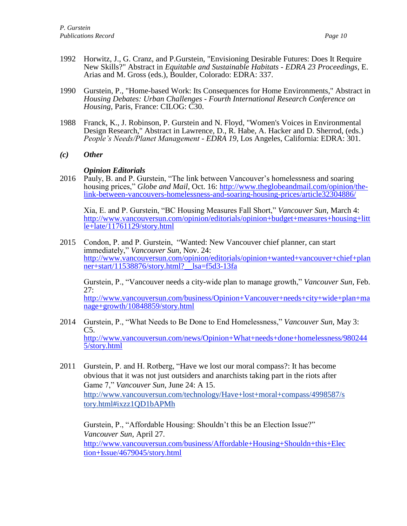- 1992 Horwitz, J., G. Cranz, and P.Gurstein, "Envisioning Desirable Futures: Does It Require New Skills?" Abstract in *Equitable and Sustainable Habitats - EDRA 23 Proceedings,* E. Arias and M. Gross (eds.), Boulder, Colorado: EDRA: 337.
- 1990 Gurstein, P., "Home-based Work: Its Consequences for Home Environments," Abstract in *Housing Debates: Urban Challenges - Fourth International Research Conference on Housing*, Paris, France: CILOG: C30.
- 1988 Franck, K., J. Robinson, P. Gurstein and N. Floyd, "Women's Voices in Environmental Design Research," Abstract in Lawrence, D., R. Habe, A. Hacker and D. Sherrod, (eds.) *People's Needs/Planet Management - EDRA 19,* Los Angeles, California: EDRA: 301.
- *(c) Other*

# *Opinion Editorials*

2016 Pauly, B. and P. Gurstein, "The link between Vancouver's homelessness and soaring housing prices," *Globe and Mail*, Oct. 16: [http://www.theglobeandmail.com/opinion/the](http://www.theglobeandmail.com/opinion/the-link-between-vancouvers-homelessness-and-soaring-housing-prices/article32304886/)[link-between-vancouvers-homelessness-and-soaring-housing-prices/article32304886/](http://www.theglobeandmail.com/opinion/the-link-between-vancouvers-homelessness-and-soaring-housing-prices/article32304886/)

Xia, E. and P. Gurstein, "BC Housing Measures Fall Short," *Vancouver Sun,* March 4: [http://www.vancouversun.com/opinion/editorials/opinion+budget+measures+housing+litt](http://www.vancouversun.com/opinion/editorials/opinion+budget+measures+housing+little+late/11761129/story.html) [le+late/11761129/story.html](http://www.vancouversun.com/opinion/editorials/opinion+budget+measures+housing+little+late/11761129/story.html)

2015 Condon, P. and P. Gurstein, "Wanted: New Vancouver chief planner, can start immediately," *Vancouver Sun*, Nov. 24: [http://www.vancouversun.com/opinion/editorials/opinion+wanted+vancouver+chief+plan](http://www.vancouversun.com/opinion/editorials/opinion+wanted+vancouver+chief+planner+start/11538876/story.html?__lsa=f5d3-13fa) ner+start/11538876/story.html? lsa=f5d3-13fa

Gurstein, P., "Vancouver needs a city-wide plan to manage growth," *Vancouver Sun*, Feb. 27:

[http://www.vancouversun.com/business/Opinion+Vancouver+needs+city+wide+plan+ma](http://www.vancouversun.com/business/Opinion+Vancouver+needs+city+wide+plan+manage+growth/10848859/story.html) [nage+growth/10848859/story.html](http://www.vancouversun.com/business/Opinion+Vancouver+needs+city+wide+plan+manage+growth/10848859/story.html)

- 2014 Gurstein, P., "What Needs to Be Done to End Homelessness," *Vancouver Sun*, May 3: C5. [http://www.vancouversun.com/news/Opinion+What+needs+done+homelessness/980244](http://www.vancouversun.com/news/Opinion+What+needs+done+homelessness/9802445/story.html) [5/story.html](http://www.vancouversun.com/news/Opinion+What+needs+done+homelessness/9802445/story.html)
- 2011 Gurstein, P. and H. Rotberg, "Have we lost our moral compass?: It has become obvious that it was not just outsiders and anarchists taking part in the riots after Game 7," *Vancouver Sun*, June 24: A 15. [http://www.vancouversun.com/technology/Have+lost+moral+compass/4998587/s](http://www.vancouversun.com/technology/Have+lost+moral+compass/4998587/story.html#ixzz1QD1bAPMh) [tory.html#ixzz1QD1bAPMh](http://www.vancouversun.com/technology/Have+lost+moral+compass/4998587/story.html#ixzz1QD1bAPMh)

Gurstein, P., "Affordable Housing: Shouldn't this be an Election Issue?" *Vancouver Sun*, April 27. [http://www.vancouversun.com/business/Affordable+Housing+Shouldn+this+Elec](http://www.vancouversun.com/business/Affordable+Housing+Shouldn+this+Election+Issue/4679045/story.html) [tion+Issue/4679045/story.html](http://www.vancouversun.com/business/Affordable+Housing+Shouldn+this+Election+Issue/4679045/story.html)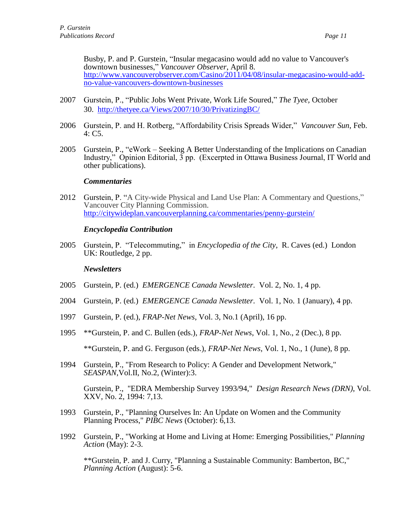Busby, P. and P. Gurstein, "Insular megacasino would add no value to Vancouver's downtown businesses," *Vancouver Observer*, April 8. [http://www.vancouverobserver.com/Casino/2011/04/08/insular-megacasino-would-add](http://www.vancouverobserver.com/Casino/2011/04/08/insular-megacasino-would-add-no-value-vancouvers-downtown-businesses)[no-value-vancouvers-downtown-businesses](http://www.vancouverobserver.com/Casino/2011/04/08/insular-megacasino-would-add-no-value-vancouvers-downtown-businesses)

- 2007 Gurstein, P., "Public Jobs Went Private, Work Life Soured," *The Tyee,* October 30. <http://thetyee.ca/Views/2007/10/30/PrivatizingBC/>
- 2006 Gurstein, P. and H. Rotberg, "Affordability Crisis Spreads Wider," *Vancouver Sun*, Feb.  $4: C5.$
- 2005 Gurstein, P., "eWork Seeking A Better Understanding of the Implications on Canadian Industry," Opinion Editorial, 3 pp. (Excerpted in Ottawa Business Journal, IT World and other publications).

## *Commentaries*

2012 Gurstein, P. "A City-wide Physical and Land Use Plan: A Commentary and Questions," Vancouver City Planning Commission. <http://citywideplan.vancouverplanning.ca/commentaries/penny-gurstein/>

# *Encyclopedia Contribution*

2005 Gurstein, P. "Telecommuting," in *Encyclopedia of the City*, R. Caves (ed.) London UK: Routledge, 2 pp.

## *Newsletters*

- 2005 Gurstein, P. (ed.) *EMERGENCE Canada Newsletter*. Vol. 2, No. 1, 4 pp.
- 2004 Gurstein, P. (ed.) *EMERGENCE Canada Newsletter*. Vol. 1, No. 1 (January), 4 pp.
- 1997 Gurstein, P. (ed.), *FRAP-Net News*, Vol. 3, No.1 (April), 16 pp.
- 1995 \*\*Gurstein, P. and C. Bullen (eds.), *FRAP-Net News*, Vol. 1, No., 2 (Dec.), 8 pp. \*\*Gurstein, P. and G. Ferguson (eds.), *FRAP-Net News*, Vol. 1, No., 1 (June), 8 pp.
- 1994 Gurstein, P., "From Research to Policy: A Gender and Development Network," *SEASPAN*,Vol.II, No.2, (Winter):3.

Gurstein, P., "EDRA Membership Survey 1993/94," *Design Research News (DRN)*, Vol. XXV, No. 2, 1994: 7,13.

- 1993 Gurstein, P., "Planning Ourselves In: An Update on Women and the Community Planning Process," *PIBC News* (October): 6,13.
- 1992 Gurstein, P., "Working at Home and Living at Home: Emerging Possibilities," *Planning Action* (May): 2-3.

\*\*Gurstein, P. and J. Curry, "Planning a Sustainable Community: Bamberton, BC," *Planning Action* (August): 5-6.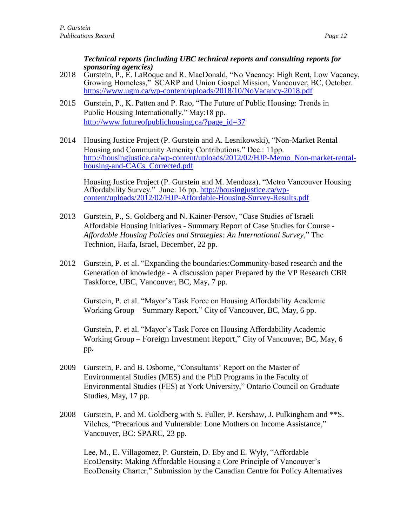# *Technical reports (including UBC technical reports and consulting reports for sponsoring agencies)*

- 2018 Gurstein, P., E. LaRoque and R. MacDonald, "No Vacancy: High Rent, Low Vacancy, Growing Homeless," SCARP and Union Gospel Mission, Vancouver, BC, October. <https://www.ugm.ca/wp-content/uploads/2018/10/NoVacancy-2018.pdf>
- 2015 Gurstein, P., K. Patten and P. Rao, "The Future of Public Housing: Trends in Public Housing Internationally." May:18 pp. [http://www.futureofpublichousing.ca/?page\\_id=37](http://www.futureofpublichousing.ca/?page_id=37)
- 2014 Housing Justice Project (P. Gurstein and A. Lesnikowski), "Non-Market Rental Housing and Community Amenity Contributions." Dec.: 11pp. [http://housingjustice.ca/wp-content/uploads/2012/02/HJP-Memo\\_Non-market-rental](http://housingjustice.ca/wp-content/uploads/2012/02/HJP-Memo_Non-market-rental-housing-and-CACs_Corrected.pdf)[housing-and-CACs\\_Corrected.pdf](http://housingjustice.ca/wp-content/uploads/2012/02/HJP-Memo_Non-market-rental-housing-and-CACs_Corrected.pdf)

Housing Justice Project (P. Gurstein and M. Mendoza). "Metro Vancouver Housing Affordability Survey." June: 16 pp. [http://housingjustice.ca/wp](http://housingjustice.ca/wp-content/uploads/2012/02/HJP-Affordable-Housing-Survey-Results.pdf)[content/uploads/2012/02/HJP-Affordable-Housing-Survey-Results.pdf](http://housingjustice.ca/wp-content/uploads/2012/02/HJP-Affordable-Housing-Survey-Results.pdf)

- 2013 Gurstein, P., S. Goldberg and N. Kainer-Persov, "Case Studies of Israeli Affordable Housing Initiatives - Summary Report of Case Studies for Course - *Affordable Housing Policies and Strategies: An International Survey*," The Technion, Haifa, Israel, December, 22 pp.
- 2012 Gurstein, P. et al. "Expanding the boundaries:Community-based research and the Generation of knowledge - A discussion paper Prepared by the VP Research CBR Taskforce, UBC, Vancouver, BC, May, 7 pp.

Gurstein, P. et al. "Mayor's Task Force on Housing Affordability Academic Working Group – Summary Report," City of Vancouver, BC, May, 6 pp.

Gurstein, P. et al. "Mayor's Task Force on Housing Affordability Academic Working Group – Foreign Investment Report," City of Vancouver, BC, May, 6 pp.

- 2009 Gurstein, P. and B. Osborne, "Consultants' Report on the Master of Environmental Studies (MES) and the PhD Programs in the Faculty of Environmental Studies (FES) at York University," Ontario Council on Graduate Studies, May, 17 pp.
- 2008 Gurstein, P. and M. Goldberg with S. Fuller, P. Kershaw, J. Pulkingham and \*\*S. Vilches, "Precarious and Vulnerable: Lone Mothers on Income Assistance," Vancouver, BC: SPARC, 23 pp.

Lee, M., E. Villagomez, P. Gurstein, D. Eby and E. Wyly, "Affordable EcoDensity: Making Affordable Housing a Core Principle of Vancouver's EcoDensity Charter," Submission by the Canadian Centre for Policy Alternatives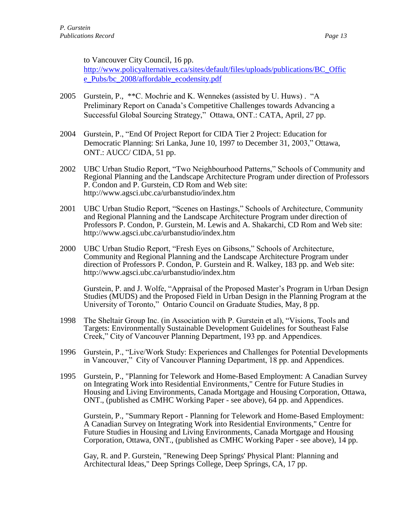to Vancouver City Council, 16 pp.

[http://www.policyalternatives.ca/sites/default/files/uploads/publications/BC\\_Offic](http://www.policyalternatives.ca/sites/default/files/uploads/publications/BC_Office_Pubs/bc_2008/affordable_ecodensity.pdf) [e\\_Pubs/bc\\_2008/affordable\\_ecodensity.pdf](http://www.policyalternatives.ca/sites/default/files/uploads/publications/BC_Office_Pubs/bc_2008/affordable_ecodensity.pdf)

- 2005 Gurstein, P., \*\*C. Mochrie and K. Wennekes (assisted by U. Huws) . "A Preliminary Report on Canada's Competitive Challenges towards Advancing a Successful Global Sourcing Strategy," Ottawa, ONT.: CATA, April, 27 pp.
- 2004 Gurstein, P., "End Of Project Report for CIDA Tier 2 Project: Education for Democratic Planning: Sri Lanka, June 10, 1997 to December 31, 2003," Ottawa, ONT.: AUCC/ CIDA, 51 pp.
- 2002 UBC Urban Studio Report, "Two Neighbourhood Patterns," Schools of Community and Regional Planning and the Landscape Architecture Program under direction of Professors P. Condon and P. Gurstein, CD Rom and Web site: http://www.agsci.ubc.ca/urbanstudio/index.htm
- 2001 UBC Urban Studio Report, "Scenes on Hastings," Schools of Architecture, Community and Regional Planning and the Landscape Architecture Program under direction of Professors P. Condon, P. Gurstein, M. Lewis and A. Shakarchi, CD Rom and Web site: http://www.agsci.ubc.ca/urbanstudio/index.htm
- 2000 UBC Urban Studio Report, "Fresh Eyes on Gibsons," Schools of Architecture, Community and Regional Planning and the Landscape Architecture Program under direction of Professors P. Condon, P. Gurstein and R. Walkey, 183 pp. and Web site: http://www.agsci.ubc.ca/urbanstudio/index.htm

Gurstein, P. and J. Wolfe, "Appraisal of the Proposed Master's Program in Urban Design Studies (MUDS) and the Proposed Field in Urban Design in the Planning Program at the University of Toronto," Ontario Council on Graduate Studies, May, 8 pp.

- 1998 The Sheltair Group Inc. (in Association with P. Gurstein et al), "Visions, Tools and Targets: Environmentally Sustainable Development Guidelines for Southeast False Creek," City of Vancouver Planning Department, 193 pp. and Appendices.
- 1996 Gurstein, P., "Live/Work Study: Experiences and Challenges for Potential Developments in Vancouver," City of Vancouver Planning Department, 18 pp. and Appendices.
- 1995 Gurstein, P., "Planning for Telework and Home-Based Employment: A Canadian Survey on Integrating Work into Residential Environments," Centre for Future Studies in Housing and Living Environments, Canada Mortgage and Housing Corporation, Ottawa, ONT., (published as CMHC Working Paper - see above), 64 pp. and Appendices.

Gurstein, P., "Summary Report - Planning for Telework and Home-Based Employment: A Canadian Survey on Integrating Work into Residential Environments," Centre for Future Studies in Housing and Living Environments, Canada Mortgage and Housing Corporation, Ottawa, ONT., (published as CMHC Working Paper - see above), 14 pp.

Gay, R. and P. Gurstein, "Renewing Deep Springs' Physical Plant: Planning and Architectural Ideas," Deep Springs College, Deep Springs, CA, 17 pp.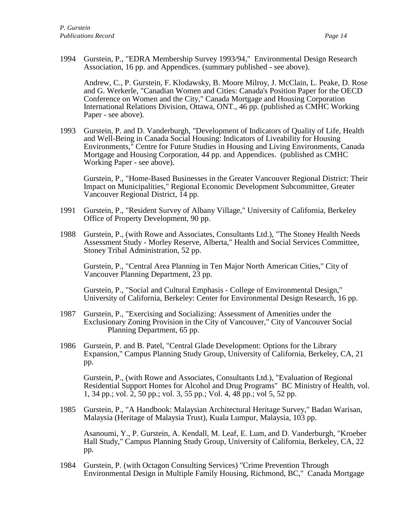1994 Gurstein, P., "EDRA Membership Survey 1993/94," Environmental Design Research Association, 16 pp. and Appendices. (summary published - see above).

Andrew, C., P. Gurstein, F. Klodawsky, B. Moore Milroy, J. McClain, L. Peake, D. Rose and G. Werkerle, "Canadian Women and Cities: Canada's Position Paper for the OECD Conference on Women and the City," Canada Mortgage and Housing Corporation International Relations Division, Ottawa, ONT., 46 pp. (published as CMHC Working Paper - see above).

1993 Gurstein, P. and D. Vanderburgh, "Development of Indicators of Quality of Life, Health and Well-Being in Canada Social Housing: Indicators of Liveability for Housing Environments," Centre for Future Studies in Housing and Living Environments, Canada Mortgage and Housing Corporation, 44 pp. and Appendices. (published as CMHC Working Paper - see above).

Gurstein, P., "Home-Based Businesses in the Greater Vancouver Regional District: Their Impact on Municipalities," Regional Economic Development Subcommittee, Greater Vancouver Regional District, 14 pp.

- 1991 Gurstein, P., "Resident Survey of Albany Village," University of California, Berkeley Office of Property Development, 90 pp.
- 1988 Gurstein, P., (with Rowe and Associates, Consultants Ltd.), "The Stoney Health Needs Assessment Study - Morley Reserve, Alberta," Health and Social Services Committee, Stoney Tribal Administration, 52 pp.

Gurstein, P., "Central Area Planning in Ten Major North American Cities," City of Vancouver Planning Department, 23 pp.

Gurstein, P., "Social and Cultural Emphasis - College of Environmental Design," University of California, Berkeley: Center for Environmental Design Research, 16 pp.

- 1987 Gurstein, P., "Exercising and Socializing: Assessment of Amenities under the Exclusionary Zoning Provision in the City of Vancouver," City of Vancouver Social Planning Department, 65 pp.
- 1986 Gurstein, P. and B. Patel, "Central Glade Development: Options for the Library Expansion," Campus Planning Study Group, University of California, Berkeley, CA, 21 pp.

Gurstein, P., (with Rowe and Associates, Consultants Ltd.), "Evaluation of Regional Residential Support Homes for Alcohol and Drug Programs" BC Ministry of Health, vol. 1, 34 pp.; vol. 2, 50 pp.; vol. 3, 55 pp.; Vol. 4, 48 pp.; vol 5, 52 pp.

1985 Gurstein, P., "A Handbook: Malaysian Architectural Heritage Survey," Badan Warisan, Malaysia (Heritage of Malaysia Trust), Kuala Lumpur, Malaysia, 103 pp.

Asanoumi, Y., P. Gurstein, A. Kendall, M. Leaf, E. Lum, and D. Vanderburgh, "Kroeber Hall Study," Campus Planning Study Group, University of California, Berkeley, CA, 22 pp.

1984 Gurstein, P. (with Octagon Consulting Services) "Crime Prevention Through Environmental Design in Multiple Family Housing, Richmond, BC," Canada Mortgage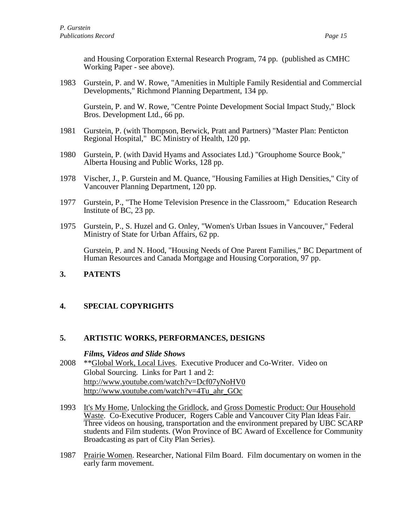and Housing Corporation External Research Program, 74 pp. (published as CMHC Working Paper - see above).

1983 Gurstein, P. and W. Rowe, "Amenities in Multiple Family Residential and Commercial Developments," Richmond Planning Department, 134 pp.

Gurstein, P. and W. Rowe, "Centre Pointe Development Social Impact Study," Block Bros. Development Ltd., 66 pp.

- 1981 Gurstein, P. (with Thompson, Berwick, Pratt and Partners) "Master Plan: Penticton Regional Hospital," BC Ministry of Health, 120 pp.
- 1980 Gurstein, P. (with David Hyams and Associates Ltd.) "Grouphome Source Book," Alberta Housing and Public Works, 128 pp.
- 1978 Vischer, J., P. Gurstein and M. Quance, "Housing Families at High Densities," City of Vancouver Planning Department, 120 pp.
- 1977 Gurstein, P., "The Home Television Presence in the Classroom," Education Research Institute of BC, 23 pp.
- 1975 Gurstein, P., S. Huzel and G. Onley, "Women's Urban Issues in Vancouver," Federal Ministry of State for Urban Affairs, 62 pp.

Gurstein, P. and N. Hood, "Housing Needs of One Parent Families," BC Department of Human Resources and Canada Mortgage and Housing Corporation, 97 pp.

# **3. PATENTS**

# **4. SPECIAL COPYRIGHTS**

## **5. ARTISTIC WORKS, PERFORMANCES, DESIGNS**

## *Films, Videos and Slide Shows*

- 2008 \*\*Global Work, Local Lives. Executive Producer and Co-Writer. Video on Global Sourcing. Links for Part 1 and 2: <http://www.youtube.com/watch?v=Dcf07yNoHV0> [http://www.youtube.com/watch?v=4Tu\\_ahr\\_GOc](http://www.youtube.com/watch?v=4Tu_ahr_GOc)
- 1993 It's My Home, Unlocking the Gridlock, and Gross Domestic Product: Our Household Waste. Co-Executive Producer, Rogers Cable and Vancouver City Plan Ideas Fair. Three videos on housing, transportation and the environment prepared by UBC SCARP students and Film students. (Won Province of BC Award of Excellence for Community Broadcasting as part of City Plan Series).
- 1987 Prairie Women. Researcher, National Film Board. Film documentary on women in the early farm movement.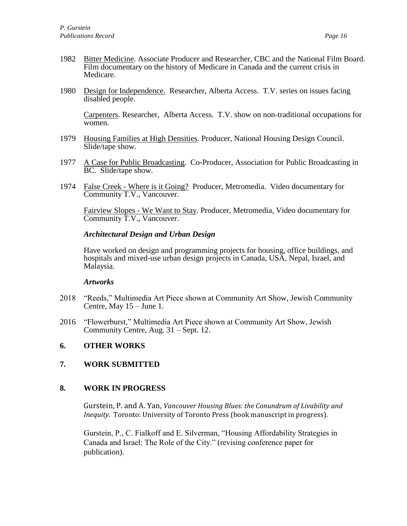- 1982 Bitter Medicine. Associate Producer and Researcher, CBC and the National Film Board. Film documentary on the history of Medicare in Canada and the current crisis in Medicare.
- 1980 Design for Independence. Researcher, Alberta Access. T.V. series on issues facing disabled people.

Carpenters. Researcher, Alberta Access. T.V. show on non-traditional occupations for women.

- 1979 Housing Families at High Densities. Producer, National Housing Design Council. Slide/tape show.
- 1977 A Case for Public Broadcasting. Co-Producer, Association for Public Broadcasting in BC. Slide/tape show.
- 1974 False Creek Where is it Going? Producer, Metromedia. Video documentary for Community T.V., Vancouver.

Fairview Slopes - We Want to Stay. Producer, Metromedia, Video documentary for Community T.V., Vancouver.

## *Architectural Design and Urban Design*

Have worked on design and programming projects for housing, office buildings, and hospitals and mixed-use urban design projects in Canada, USA, Nepal, Israel, and Malaysia.

# *Artworks*

- 2018 "Reeds," Multimedia Art Piece shown at Community Art Show, Jewish Community Centre, May 15 – June 1.
- 2016 "Flowerburst," Multimedia Art Piece shown at Community Art Show, Jewish Community Centre, Aug. 31 – Sept. 12.

# **6. OTHER WORKS**

# **7. WORK SUBMITTED**

# **8. WORK IN PROGRESS**

Gurstein, P. and A. Yan, *Vancouver Housing Blues: the Conundrum of Livability and Inequity.* Toronto: University of Toronto Press (book manuscript in progress).

Gurstein, P., C. Fialkoff and E. Silverman, "Housing Affordability Strategies in Canada and Israel: The Role of the City." (revising conference paper for publication).